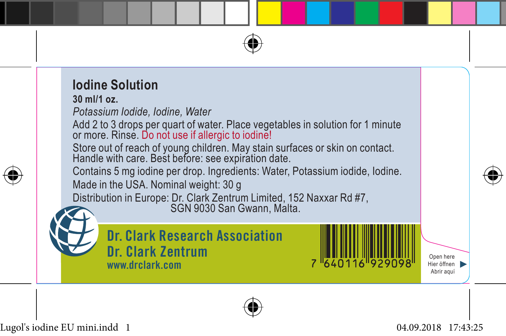



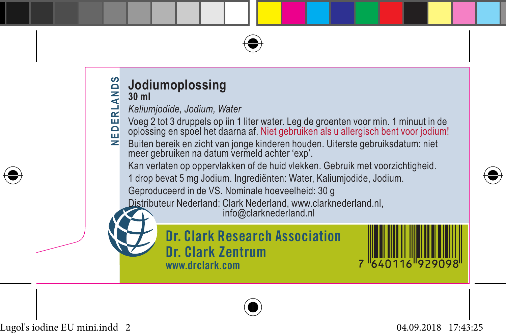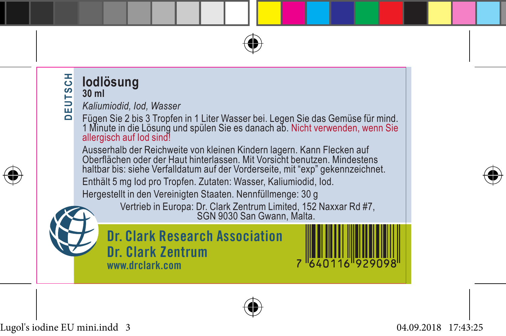

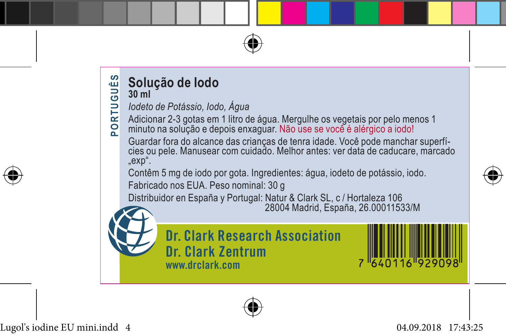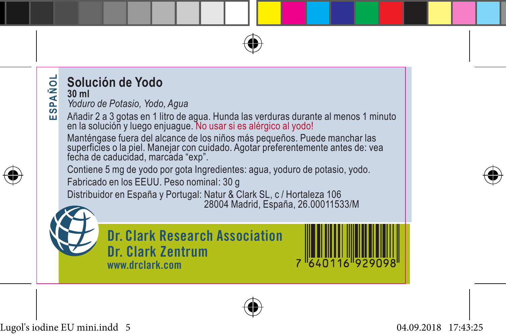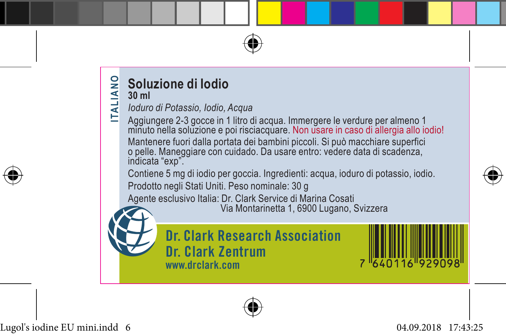



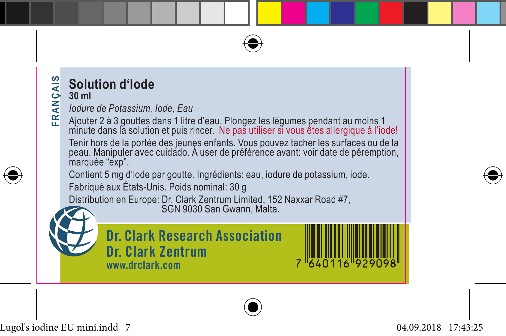